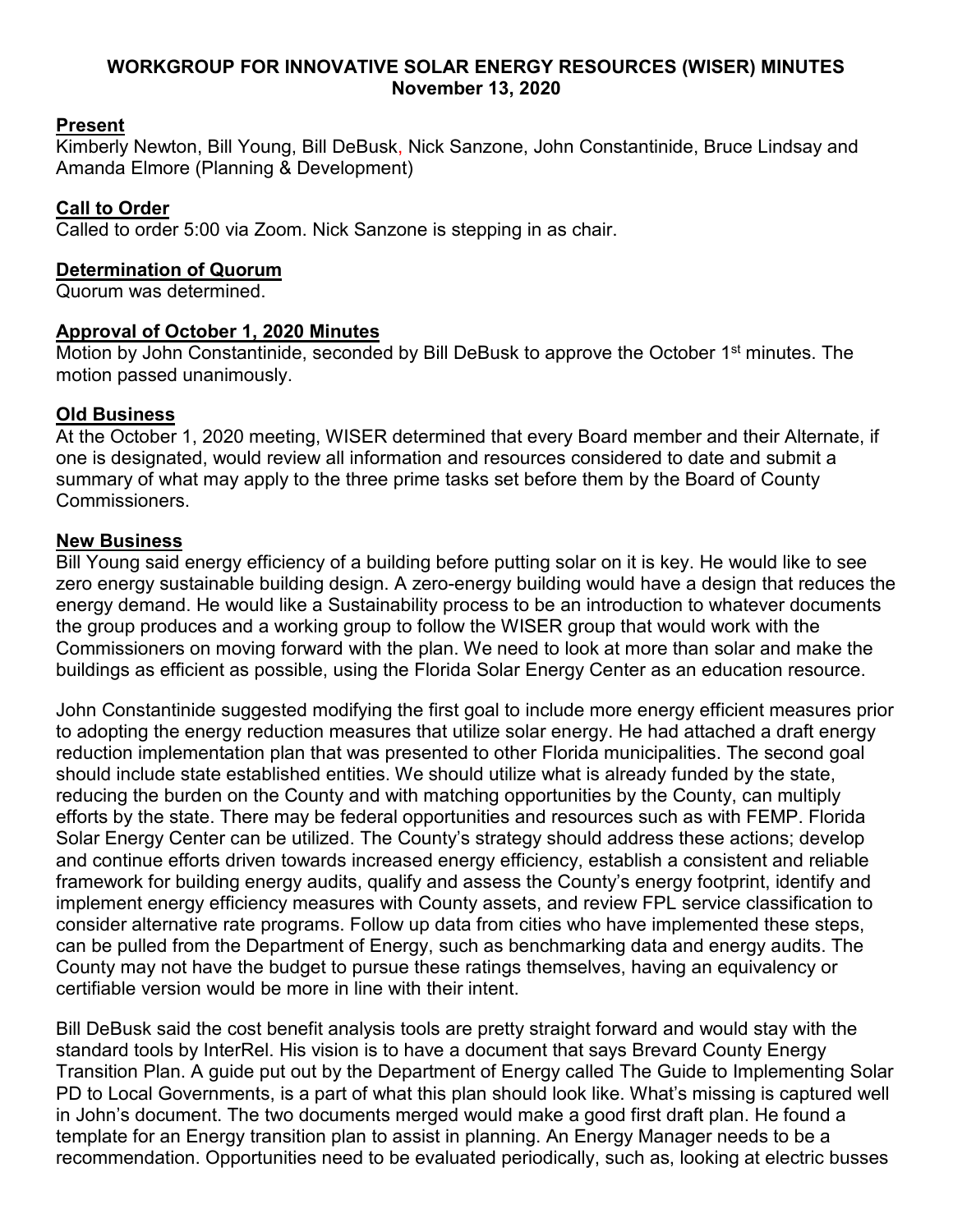#### **WORKGROUP FOR INNOVATIVE SOLAR ENERGY RESOURCES (WISER) MINUTES November 13, 2020**

## **Present**

Kimberly Newton, Bill Young, Bill DeBusk, Nick Sanzone, John Constantinide, Bruce Lindsay and Amanda Elmore (Planning & Development)

## **Call to Order**

Called to order 5:00 via Zoom. Nick Sanzone is stepping in as chair.

#### **Determination of Quorum**

Quorum was determined.

## **Approval of October 1, 2020 Minutes**

Motion by John Constantinide, seconded by Bill DeBusk to approve the October 1<sup>st</sup> minutes. The motion passed unanimously.

# **Old Business**

At the October 1, 2020 meeting, WISER determined that every Board member and their Alternate, if one is designated, would review all information and resources considered to date and submit a summary of what may apply to the three prime tasks set before them by the Board of County Commissioners.

#### **New Business**

Bill Young said energy efficiency of a building before putting solar on it is key. He would like to see zero energy sustainable building design. A zero-energy building would have a design that reduces the energy demand. He would like a Sustainability process to be an introduction to whatever documents the group produces and a working group to follow the WISER group that would work with the Commissioners on moving forward with the plan. We need to look at more than solar and make the buildings as efficient as possible, using the Florida Solar Energy Center as an education resource.

John Constantinide suggested modifying the first goal to include more energy efficient measures prior to adopting the energy reduction measures that utilize solar energy. He had attached a draft energy reduction implementation plan that was presented to other Florida municipalities. The second goal should include state established entities. We should utilize what is already funded by the state, reducing the burden on the County and with matching opportunities by the County, can multiply efforts by the state. There may be federal opportunities and resources such as with FEMP. Florida Solar Energy Center can be utilized. The County's strategy should address these actions; develop and continue efforts driven towards increased energy efficiency, establish a consistent and reliable framework for building energy audits, qualify and assess the County's energy footprint, identify and implement energy efficiency measures with County assets, and review FPL service classification to consider alternative rate programs. Follow up data from cities who have implemented these steps, can be pulled from the Department of Energy, such as benchmarking data and energy audits. The County may not have the budget to pursue these ratings themselves, having an equivalency or certifiable version would be more in line with their intent.

Bill DeBusk said the cost benefit analysis tools are pretty straight forward and would stay with the standard tools by InterRel. His vision is to have a document that says Brevard County Energy Transition Plan. A guide put out by the Department of Energy called The Guide to Implementing Solar PD to Local Governments, is a part of what this plan should look like. What's missing is captured well in John's document. The two documents merged would make a good first draft plan. He found a template for an Energy transition plan to assist in planning. An Energy Manager needs to be a recommendation. Opportunities need to be evaluated periodically, such as, looking at electric busses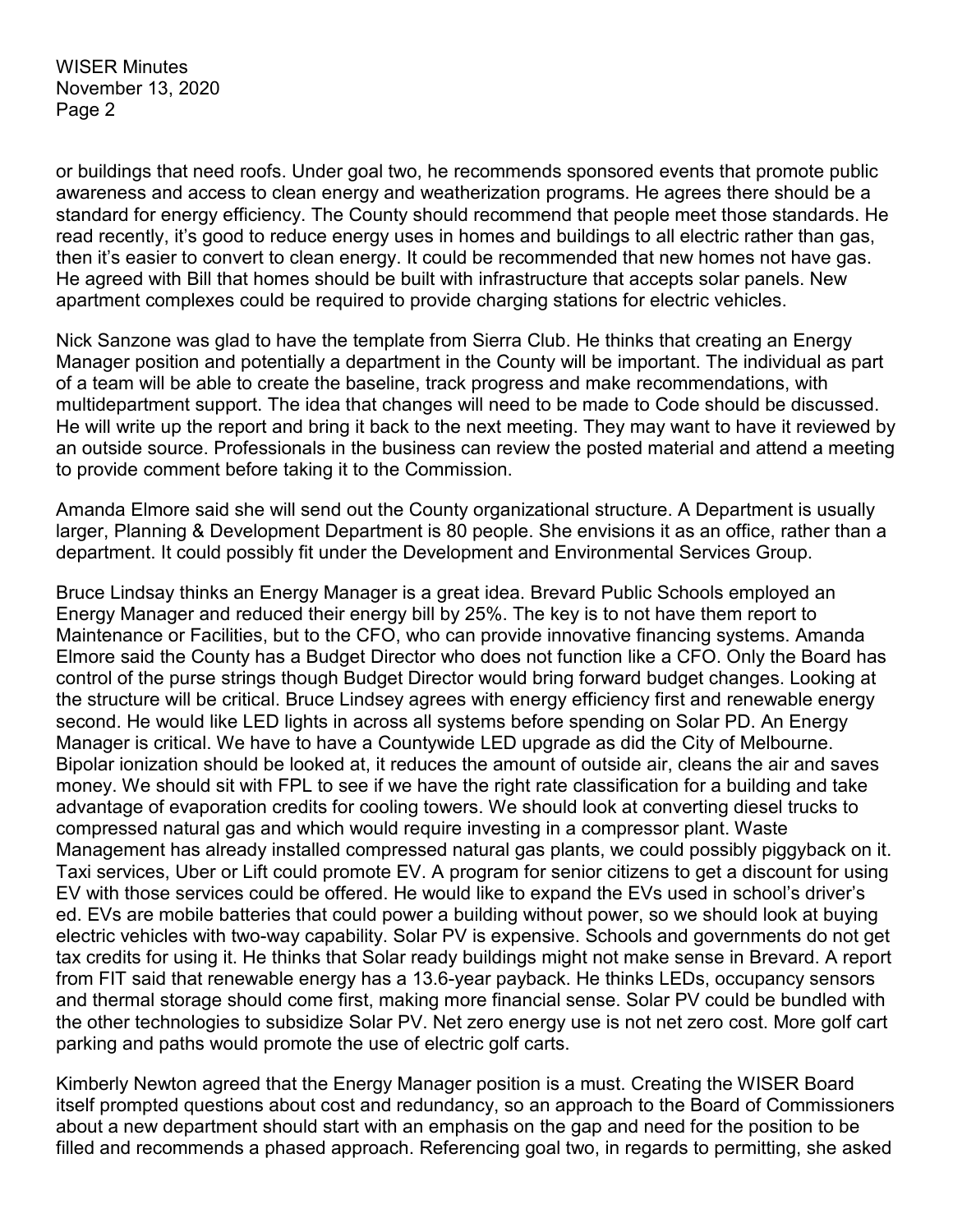WISER Minutes November 13, 2020 Page 2

or buildings that need roofs. Under goal two, he recommends sponsored events that promote public awareness and access to clean energy and weatherization programs. He agrees there should be a standard for energy efficiency. The County should recommend that people meet those standards. He read recently, it's good to reduce energy uses in homes and buildings to all electric rather than gas, then it's easier to convert to clean energy. It could be recommended that new homes not have gas. He agreed with Bill that homes should be built with infrastructure that accepts solar panels. New apartment complexes could be required to provide charging stations for electric vehicles.

Nick Sanzone was glad to have the template from Sierra Club. He thinks that creating an Energy Manager position and potentially a department in the County will be important. The individual as part of a team will be able to create the baseline, track progress and make recommendations, with multidepartment support. The idea that changes will need to be made to Code should be discussed. He will write up the report and bring it back to the next meeting. They may want to have it reviewed by an outside source. Professionals in the business can review the posted material and attend a meeting to provide comment before taking it to the Commission.

Amanda Elmore said she will send out the County organizational structure. A Department is usually larger, Planning & Development Department is 80 people. She envisions it as an office, rather than a department. It could possibly fit under the Development and Environmental Services Group.

Bruce Lindsay thinks an Energy Manager is a great idea. Brevard Public Schools employed an Energy Manager and reduced their energy bill by 25%. The key is to not have them report to Maintenance or Facilities, but to the CFO, who can provide innovative financing systems. Amanda Elmore said the County has a Budget Director who does not function like a CFO. Only the Board has control of the purse strings though Budget Director would bring forward budget changes. Looking at the structure will be critical. Bruce Lindsey agrees with energy efficiency first and renewable energy second. He would like LED lights in across all systems before spending on Solar PD. An Energy Manager is critical. We have to have a Countywide LED upgrade as did the City of Melbourne. Bipolar ionization should be looked at, it reduces the amount of outside air, cleans the air and saves money. We should sit with FPL to see if we have the right rate classification for a building and take advantage of evaporation credits for cooling towers. We should look at converting diesel trucks to compressed natural gas and which would require investing in a compressor plant. Waste Management has already installed compressed natural gas plants, we could possibly piggyback on it. Taxi services, Uber or Lift could promote EV. A program for senior citizens to get a discount for using EV with those services could be offered. He would like to expand the EVs used in school's driver's ed. EVs are mobile batteries that could power a building without power, so we should look at buying electric vehicles with two-way capability. Solar PV is expensive. Schools and governments do not get tax credits for using it. He thinks that Solar ready buildings might not make sense in Brevard. A report from FIT said that renewable energy has a 13.6-year payback. He thinks LEDs, occupancy sensors and thermal storage should come first, making more financial sense. Solar PV could be bundled with the other technologies to subsidize Solar PV. Net zero energy use is not net zero cost. More golf cart parking and paths would promote the use of electric golf carts.

Kimberly Newton agreed that the Energy Manager position is a must. Creating the WISER Board itself prompted questions about cost and redundancy, so an approach to the Board of Commissioners about a new department should start with an emphasis on the gap and need for the position to be filled and recommends a phased approach. Referencing goal two, in regards to permitting, she asked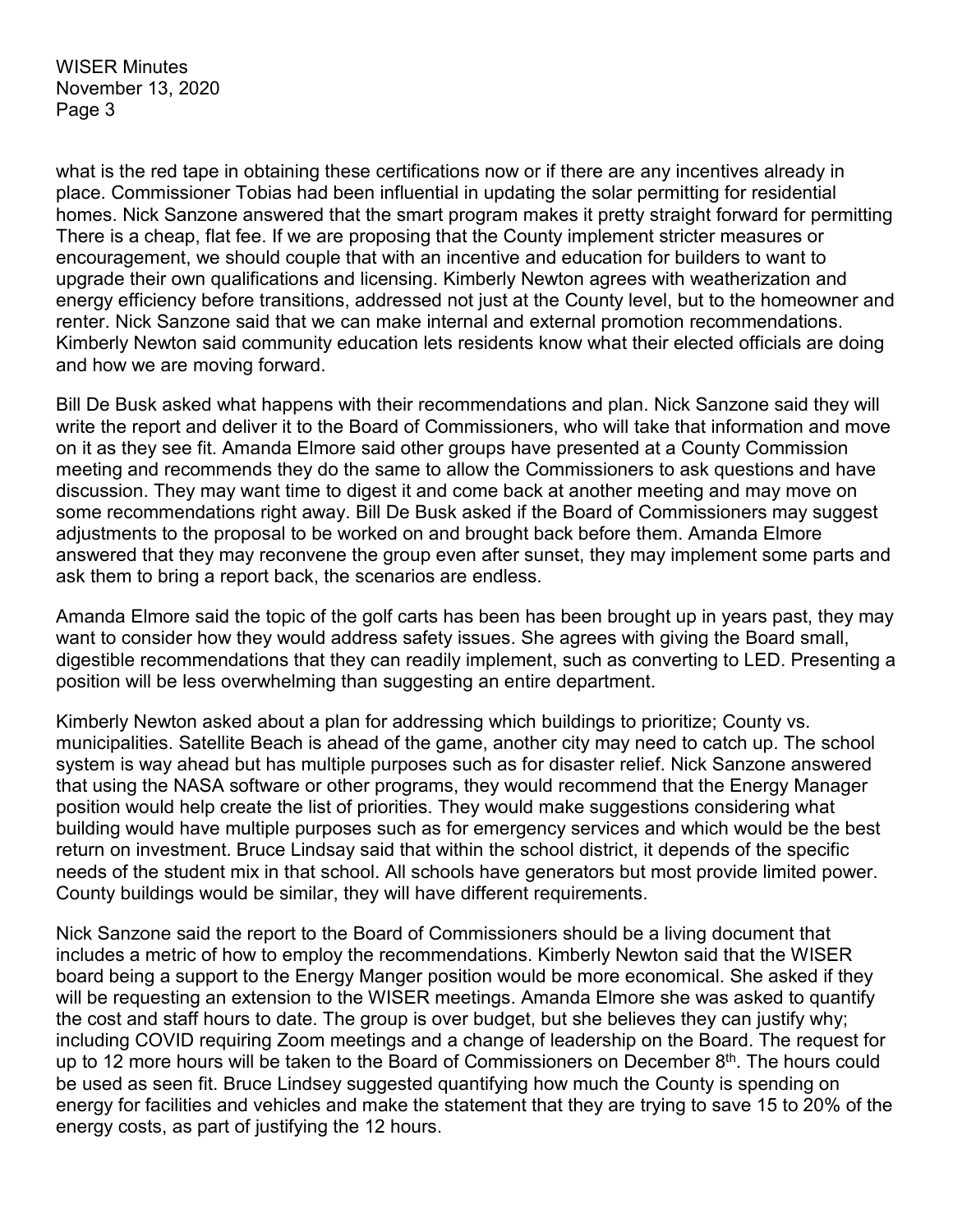WISER Minutes November 13, 2020 Page 3

what is the red tape in obtaining these certifications now or if there are any incentives already in place. Commissioner Tobias had been influential in updating the solar permitting for residential homes. Nick Sanzone answered that the smart program makes it pretty straight forward for permitting There is a cheap, flat fee. If we are proposing that the County implement stricter measures or encouragement, we should couple that with an incentive and education for builders to want to upgrade their own qualifications and licensing. Kimberly Newton agrees with weatherization and energy efficiency before transitions, addressed not just at the County level, but to the homeowner and renter. Nick Sanzone said that we can make internal and external promotion recommendations. Kimberly Newton said community education lets residents know what their elected officials are doing and how we are moving forward.

Bill De Busk asked what happens with their recommendations and plan. Nick Sanzone said they will write the report and deliver it to the Board of Commissioners, who will take that information and move on it as they see fit. Amanda Elmore said other groups have presented at a County Commission meeting and recommends they do the same to allow the Commissioners to ask questions and have discussion. They may want time to digest it and come back at another meeting and may move on some recommendations right away. Bill De Busk asked if the Board of Commissioners may suggest adjustments to the proposal to be worked on and brought back before them. Amanda Elmore answered that they may reconvene the group even after sunset, they may implement some parts and ask them to bring a report back, the scenarios are endless.

Amanda Elmore said the topic of the golf carts has been has been brought up in years past, they may want to consider how they would address safety issues. She agrees with giving the Board small, digestible recommendations that they can readily implement, such as converting to LED. Presenting a position will be less overwhelming than suggesting an entire department.

Kimberly Newton asked about a plan for addressing which buildings to prioritize; County vs. municipalities. Satellite Beach is ahead of the game, another city may need to catch up. The school system is way ahead but has multiple purposes such as for disaster relief. Nick Sanzone answered that using the NASA software or other programs, they would recommend that the Energy Manager position would help create the list of priorities. They would make suggestions considering what building would have multiple purposes such as for emergency services and which would be the best return on investment. Bruce Lindsay said that within the school district, it depends of the specific needs of the student mix in that school. All schools have generators but most provide limited power. County buildings would be similar, they will have different requirements.

Nick Sanzone said the report to the Board of Commissioners should be a living document that includes a metric of how to employ the recommendations. Kimberly Newton said that the WISER board being a support to the Energy Manger position would be more economical. She asked if they will be requesting an extension to the WISER meetings. Amanda Elmore she was asked to quantify the cost and staff hours to date. The group is over budget, but she believes they can justify why; including COVID requiring Zoom meetings and a change of leadership on the Board. The request for up to 12 more hours will be taken to the Board of Commissioners on December 8<sup>th</sup>. The hours could be used as seen fit. Bruce Lindsey suggested quantifying how much the County is spending on energy for facilities and vehicles and make the statement that they are trying to save 15 to 20% of the energy costs, as part of justifying the 12 hours.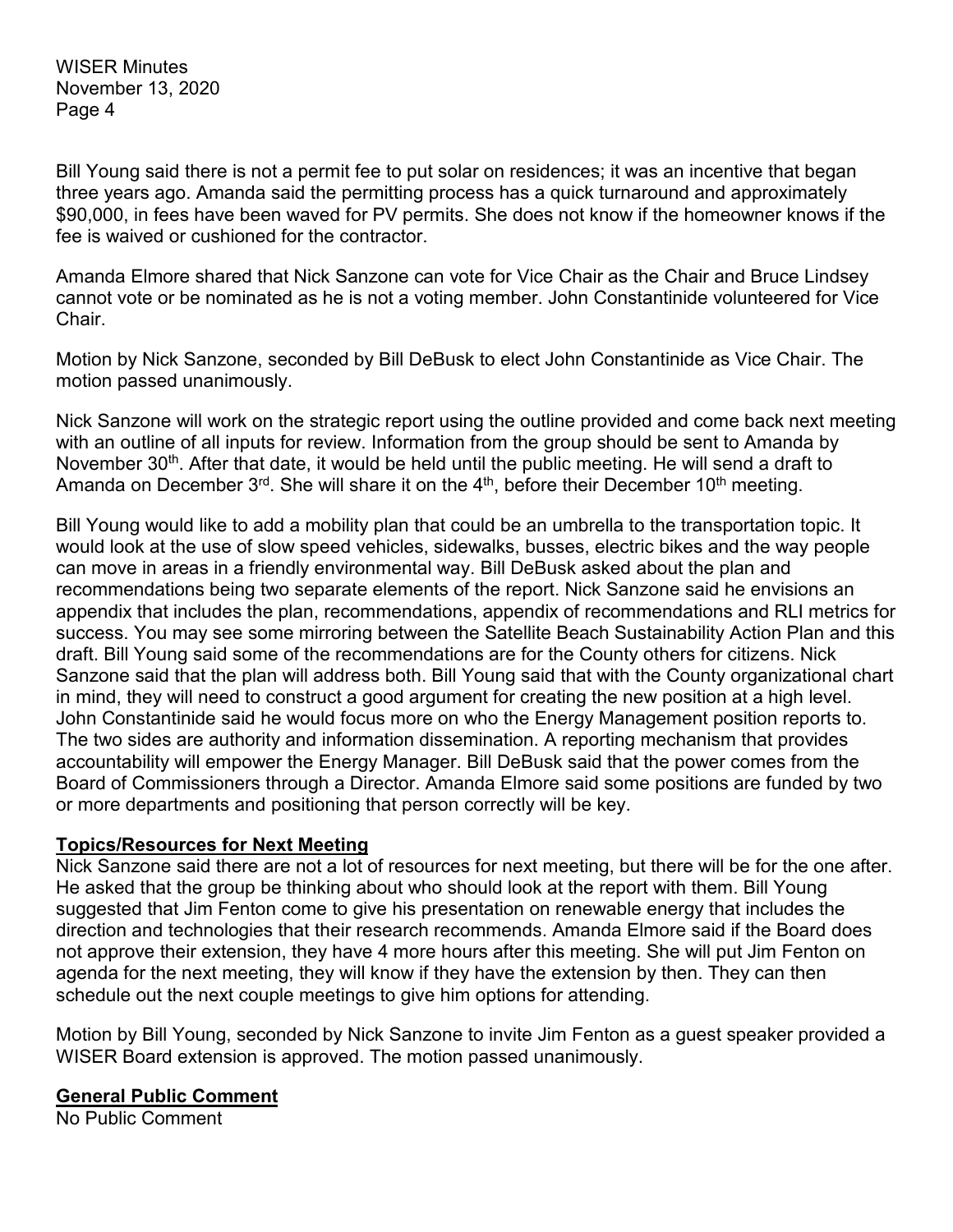WISER Minutes November 13, 2020 Page 4

Bill Young said there is not a permit fee to put solar on residences; it was an incentive that began three years ago. Amanda said the permitting process has a quick turnaround and approximately \$90,000, in fees have been waved for PV permits. She does not know if the homeowner knows if the fee is waived or cushioned for the contractor.

Amanda Elmore shared that Nick Sanzone can vote for Vice Chair as the Chair and Bruce Lindsey cannot vote or be nominated as he is not a voting member. John Constantinide volunteered for Vice Chair.

Motion by Nick Sanzone, seconded by Bill DeBusk to elect John Constantinide as Vice Chair. The motion passed unanimously.

Nick Sanzone will work on the strategic report using the outline provided and come back next meeting with an outline of all inputs for review. Information from the group should be sent to Amanda by November 30<sup>th</sup>. After that date, it would be held until the public meeting. He will send a draft to Amanda on December  $3^{rd}$ . She will share it on the  $4^{th}$ , before their December 10<sup>th</sup> meeting.

Bill Young would like to add a mobility plan that could be an umbrella to the transportation topic. It would look at the use of slow speed vehicles, sidewalks, busses, electric bikes and the way people can move in areas in a friendly environmental way. Bill DeBusk asked about the plan and recommendations being two separate elements of the report. Nick Sanzone said he envisions an appendix that includes the plan, recommendations, appendix of recommendations and RLI metrics for success. You may see some mirroring between the Satellite Beach Sustainability Action Plan and this draft. Bill Young said some of the recommendations are for the County others for citizens. Nick Sanzone said that the plan will address both. Bill Young said that with the County organizational chart in mind, they will need to construct a good argument for creating the new position at a high level. John Constantinide said he would focus more on who the Energy Management position reports to. The two sides are authority and information dissemination. A reporting mechanism that provides accountability will empower the Energy Manager. Bill DeBusk said that the power comes from the Board of Commissioners through a Director. Amanda Elmore said some positions are funded by two or more departments and positioning that person correctly will be key.

# **Topics/Resources for Next Meeting**

Nick Sanzone said there are not a lot of resources for next meeting, but there will be for the one after. He asked that the group be thinking about who should look at the report with them. Bill Young suggested that Jim Fenton come to give his presentation on renewable energy that includes the direction and technologies that their research recommends. Amanda Elmore said if the Board does not approve their extension, they have 4 more hours after this meeting. She will put Jim Fenton on agenda for the next meeting, they will know if they have the extension by then. They can then schedule out the next couple meetings to give him options for attending.

Motion by Bill Young, seconded by Nick Sanzone to invite Jim Fenton as a guest speaker provided a WISER Board extension is approved. The motion passed unanimously.

#### **General Public Comment**

No Public Comment